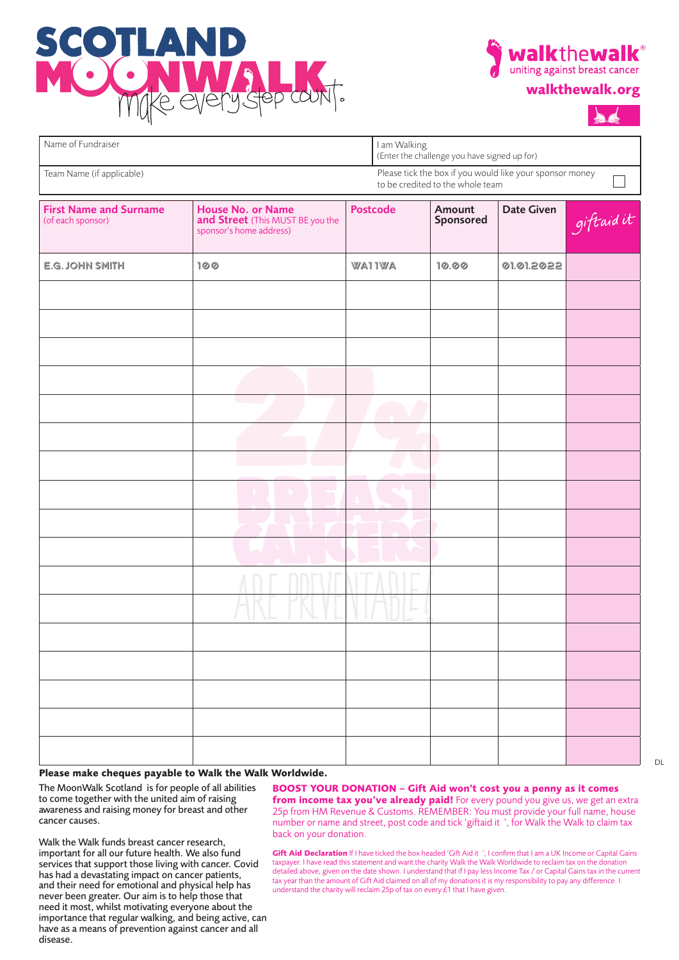







| Name of Fundraiser                                                                                                        |                                                                                         | I am Walking<br>(Enter the challenge you have signed up for) |                     |            |           |  |  |  |  |
|---------------------------------------------------------------------------------------------------------------------------|-----------------------------------------------------------------------------------------|--------------------------------------------------------------|---------------------|------------|-----------|--|--|--|--|
| Please tick the box if you would like your sponsor money<br>Team Name (if applicable)<br>to be credited to the whole team |                                                                                         |                                                              |                     |            |           |  |  |  |  |
| <b>First Name and Surname</b><br>(of each sponsor)                                                                        | <b>House No. or Name</b><br>and Street (This MUST BE you the<br>sponsor's home address) | <b>Postcode</b>                                              | Amount<br>Sponsored | Date Given | giftaidit |  |  |  |  |
| E.G. JOHN SMITH                                                                                                           | 100                                                                                     | <b>WAI IWA</b>                                               | 10.00               | 01.01.2022 |           |  |  |  |  |
|                                                                                                                           |                                                                                         |                                                              |                     |            |           |  |  |  |  |
|                                                                                                                           |                                                                                         |                                                              |                     |            |           |  |  |  |  |
|                                                                                                                           |                                                                                         |                                                              |                     |            |           |  |  |  |  |
|                                                                                                                           |                                                                                         |                                                              |                     |            |           |  |  |  |  |
|                                                                                                                           |                                                                                         |                                                              |                     |            |           |  |  |  |  |
|                                                                                                                           |                                                                                         |                                                              |                     |            |           |  |  |  |  |
|                                                                                                                           |                                                                                         |                                                              |                     |            |           |  |  |  |  |
|                                                                                                                           |                                                                                         |                                                              |                     |            |           |  |  |  |  |
|                                                                                                                           |                                                                                         |                                                              |                     |            |           |  |  |  |  |
|                                                                                                                           |                                                                                         |                                                              |                     |            |           |  |  |  |  |
|                                                                                                                           |                                                                                         |                                                              |                     |            |           |  |  |  |  |
|                                                                                                                           |                                                                                         |                                                              |                     |            |           |  |  |  |  |
|                                                                                                                           |                                                                                         |                                                              |                     |            |           |  |  |  |  |
|                                                                                                                           |                                                                                         |                                                              |                     |            |           |  |  |  |  |
|                                                                                                                           |                                                                                         |                                                              |                     |            |           |  |  |  |  |
|                                                                                                                           |                                                                                         |                                                              |                     |            |           |  |  |  |  |
|                                                                                                                           |                                                                                         |                                                              |                     |            |           |  |  |  |  |

## **Please make cheques payable to Walk the Walk Worldwide.**

The MoonWalk Scotland is for people of all abilities to come together with the united aim of raising awareness and raising money for breast and other cancer causes.

Walk the Walk funds breast cancer research, important for all our future health. We also fund services that support those living with cancer. Covid has had a devastating impact on cancer patients, and their need for emotional and physical help has never been greater. Our aim is to help those that need it most, whilst motivating everyone about the importance that regular walking, and being active, can have as a means of prevention against cancer and all disease.

**BOOST YOUR DONATION – Gift Aid won't cost you a penny as it comes from income tax you've already paid!** For every pound you give us, we get an extra 25p from HM Revenue & Customs. REMEMBER: You must provide your full name, house number or name and street, post code and tick 'giftaid it ', for Walk the Walk to claim tax back on your donation.

**Gift Aid Declaration** If I have ticked the box headed 'Gift Aid it ', I confirm that I am a UK Income or Capital Gains taxpayer. I have read this statement and want the charity Walk the Walk Worldwide to reclaim tax on the donation detailed above, given on the date shown. I understand that if I pay less Income Tax / or Capital Gains tax in the current tax year than the amount of Gift Aid claimed on all of my donations it is my responsibility to pay any difference. I understand the charity will reclaim 25p of tax on every  $\acute{t}$ 1 that I have given.